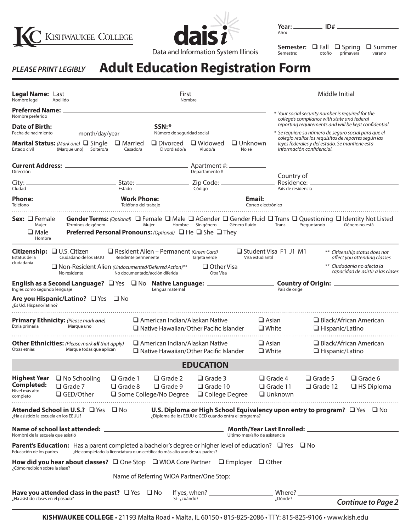





Año**:**

**Semester:**  $\Box$  Fall  $\Box$  Spring  $\Box$  Summer<br>
Semestre: otoño primavera verano otoño primavera

## **Adult Education Registration Form** *PLEASE PRINT LEGIBLY*

| Nombre legal<br>Apellido                                                                                                                          |                                                                                                                                              |                               | First<br>Nombre                                                                                                                                |                                                      |                         |                                 | Middle Initial _______________                                                                                                                                                              |                                                                                                                                                                           |  |  |
|---------------------------------------------------------------------------------------------------------------------------------------------------|----------------------------------------------------------------------------------------------------------------------------------------------|-------------------------------|------------------------------------------------------------------------------------------------------------------------------------------------|------------------------------------------------------|-------------------------|---------------------------------|---------------------------------------------------------------------------------------------------------------------------------------------------------------------------------------------|---------------------------------------------------------------------------------------------------------------------------------------------------------------------------|--|--|
| Nombre preferido                                                                                                                                  |                                                                                                                                              |                               | SSN:*                                                                                                                                          |                                                      |                         |                                 | * Your social security number is required for the<br>college's compliance with state and federal                                                                                            | reporting requirements and will be kept confidential.                                                                                                                     |  |  |
| Date of Birth: _<br>Fecha de nacimiento<br>month/day/year<br><b>Marital Status:</b> (Mark one) □ Single<br>(Marque uno) Soltero/a<br>Estado civil |                                                                                                                                              | $\square$ Married<br>Casado/a | Número de seguridad social<br>$\Box$ Divorced<br>$\Box$ Widowed<br>Divordiado/a<br>Vludo/a                                                     |                                                      | $\Box$ Unknown<br>No sé |                                 | * Se requiere su número de seguro social para que el<br>colegio realice los requisitos de reportes según las<br>leyes federales y del estado. Se mantiene esta<br>información confidencial. |                                                                                                                                                                           |  |  |
| Direcciòn                                                                                                                                         |                                                                                                                                              |                               |                                                                                                                                                | Apartment #: ____________<br>Departamento #          |                         | Country of                      |                                                                                                                                                                                             |                                                                                                                                                                           |  |  |
| City: -<br>Cludad                                                                                                                                 |                                                                                                                                              | Estado                        |                                                                                                                                                | Código                                               |                         |                                 | País de residencia                                                                                                                                                                          |                                                                                                                                                                           |  |  |
| Teléfono                                                                                                                                          |                                                                                                                                              | Teléfono del trabajo          |                                                                                                                                                |                                                      |                         | Correo electrónico              |                                                                                                                                                                                             |                                                                                                                                                                           |  |  |
| Sex: □ Female<br>Mujer<br>$\square$ Male<br>Hombre                                                                                                | Términos de género<br><b>Preferred Personal Pronouns:</b> (Optional) $\Box$ He $\Box$ She $\Box$ They                                        |                               | Mujer                                                                                                                                          | Hombre Sin género Género fluido                      |                         | Trans                           | Preguntando                                                                                                                                                                                 | <b>Gender Terms:</b> (Optional) $\Box$ Female $\Box$ Male $\Box$ AGender $\Box$ Gender Fluid $\Box$ Trans $\Box$ Questioning $\Box$ Identity Not Listed<br>Género no está |  |  |
| Estatus de la<br>cludadania                                                                                                                       | Citizenship: <b>Q</b> U.S. Citizen<br>Ciudadano de los EEUU<br>$\square$ Non-Resident Alien (Undocumented/Deferred Action)**<br>No residente | Residente permenente          | $\Box$ Resident Alien – Permanent (Green Card)<br>No documentado/acción diferida                                                               | Tarjeta verde<br>$\Box$ Other Visa<br>Otra Visa      | Visa estudiantil        | Student Visa F1 J1 M1           |                                                                                                                                                                                             | ** Citizenship status does not<br>affect you attending classes<br>** Ciudadanía no afecta la<br>capacidad de asistir a las clases                                         |  |  |
| Inglés como segundo lenguaje                                                                                                                      | English as a Second Language? $\Box$ Yes $\Box$ No Native Language: _________________<br>Are you Hispanic/Latino? $\Box$ Yes $\Box$ No       |                               | Lengua maternal                                                                                                                                |                                                      |                         | País de oríge                   |                                                                                                                                                                                             |                                                                                                                                                                           |  |  |
| ¿Es Ud. Hispano/latino?                                                                                                                           |                                                                                                                                              |                               |                                                                                                                                                |                                                      |                         |                                 |                                                                                                                                                                                             |                                                                                                                                                                           |  |  |
| Etnia primaria                                                                                                                                    | Primary Ethnicity: (Please mark one)<br>Marque uno                                                                                           |                               | $\Box$ American Indian/Alaskan Native<br>□ Native Hawaiian/Other Pacific Islander                                                              |                                                      |                         | $\Box$ Asian<br>$\square$ White | $\Box$ Hispanic/Latino                                                                                                                                                                      | $\Box$ Black/African American                                                                                                                                             |  |  |
| Otras etnias                                                                                                                                      | <b>Other Ethnicities:</b> (Please mark all that apply)<br>Marque todas que aplican                                                           |                               | $\Box$ American Indian/Alaskan Native<br>$\Box$ Native Hawaiian/Other Pacific Islander                                                         |                                                      |                         | $\Box$ Asian<br>$\Box$ White    | $\Box$ Hispanic/Latino                                                                                                                                                                      | $\Box$ Black/African American                                                                                                                                             |  |  |
|                                                                                                                                                   |                                                                                                                                              |                               |                                                                                                                                                | <b>EDUCATION</b>                                     |                         |                                 |                                                                                                                                                                                             |                                                                                                                                                                           |  |  |
| Nivel más alto<br>completo                                                                                                                        | Highest Year $\Box$ No Schooling<br><b>Completed:</b> □ Grade 7<br>□ GED/Other                                                               | $\Box$ Grade 1                | $\Box$ Grade 2<br>$\Box$ Grade 8 $\Box$ Grade 9 $\Box$ Grade 10<br>$\square$ Some College/No Degree $\square$ College Degree $\square$ Unknown | $\Box$ Grade 3                                       |                         | $\Box$ Grade 4                  | $\Box$ Grade 5                                                                                                                                                                              | $\Box$ Grade 6<br>$\Box$ Grade 11 $\Box$ Grade 12 $\Box$ HS Diploma                                                                                                       |  |  |
| ¿Ha asistido la escuela en los EEUU?                                                                                                              | Attended School in U.S.? □ Yes □ No U.S. Diploma or High School Equivalency upon entry to program? □ Yes □ No                                |                               |                                                                                                                                                | ¿Diploma de los EEUU o GED cuando entra el programa? |                         |                                 |                                                                                                                                                                                             |                                                                                                                                                                           |  |  |
| Nombré de la escuela que asistió                                                                                                                  |                                                                                                                                              |                               | Último mes/año de asistencia                                                                                                                   |                                                      |                         |                                 |                                                                                                                                                                                             |                                                                                                                                                                           |  |  |
| Educación de los padres                                                                                                                           | <b>Parent's Education:</b> Has a parent completed a bachelor's degree or higher level of education? $\Box$ Yes $\Box$ No                     |                               | The completado la licenciatura o un certificado más alto uno de sus padres?                                                                    |                                                      |                         |                                 |                                                                                                                                                                                             |                                                                                                                                                                           |  |  |
| ¿Cómo recibíon sobre la slase?                                                                                                                    | How did you hear about classes? □ One Stop □ WIOA Core Partner □ Employer □ Other                                                            |                               |                                                                                                                                                |                                                      |                         |                                 |                                                                                                                                                                                             |                                                                                                                                                                           |  |  |
|                                                                                                                                                   |                                                                                                                                              |                               |                                                                                                                                                |                                                      |                         |                                 |                                                                                                                                                                                             |                                                                                                                                                                           |  |  |
| ¿Ha asistido clases en el pasado?                                                                                                                 | Have you attended class in the past? $\Box$ Yes $\Box$ No                                                                                    |                               | $Si$ -; cuándo?                                                                                                                                |                                                      |                         | ¿Dónde?                         |                                                                                                                                                                                             | <b>Continue to Page 2</b>                                                                                                                                                 |  |  |

**KISHWAUKEE COLLEGE** • 21193 Malta Road • Malta, IL 60150 • 815-825-2086 • TTY: 815-825-9106 • www.kish.edu